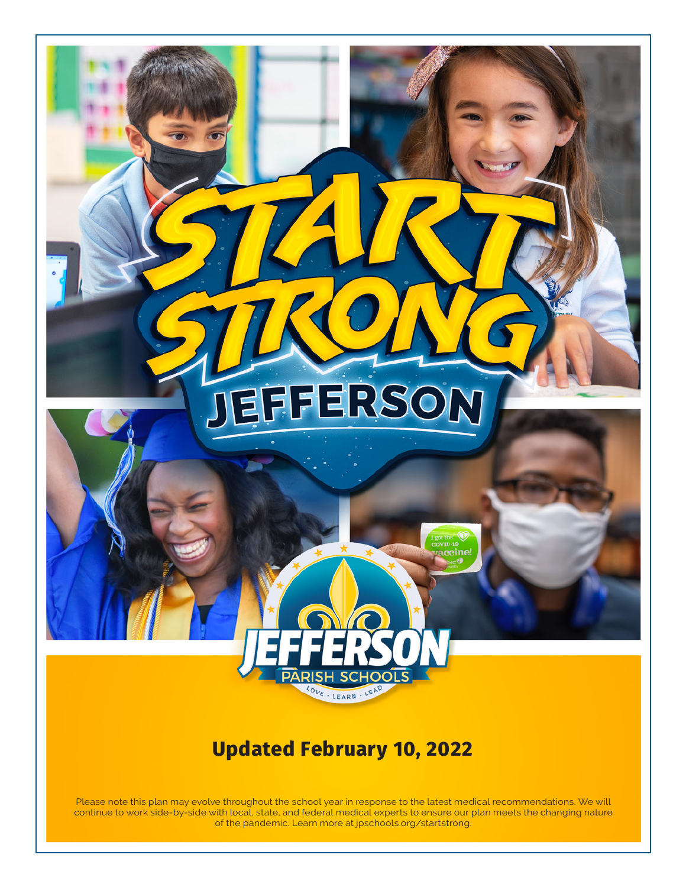

# **Updated February 10, 2022**

Please note this plan may evolve throughout the school year in response to the latest medical recommendations. We will continue to work side-by-side with local, state, and federal medical experts to ensure our plan meets the changing nature of the pandemic. Learn more at [jpschools.org/startstrong.](http://jpschools.org/startstrong)

Learn more at jpschools.org/startstrong. [jpschools.org/Page/40](https://www.jpschools.org/Page/4016)16

Please note this plan is subject to change. 1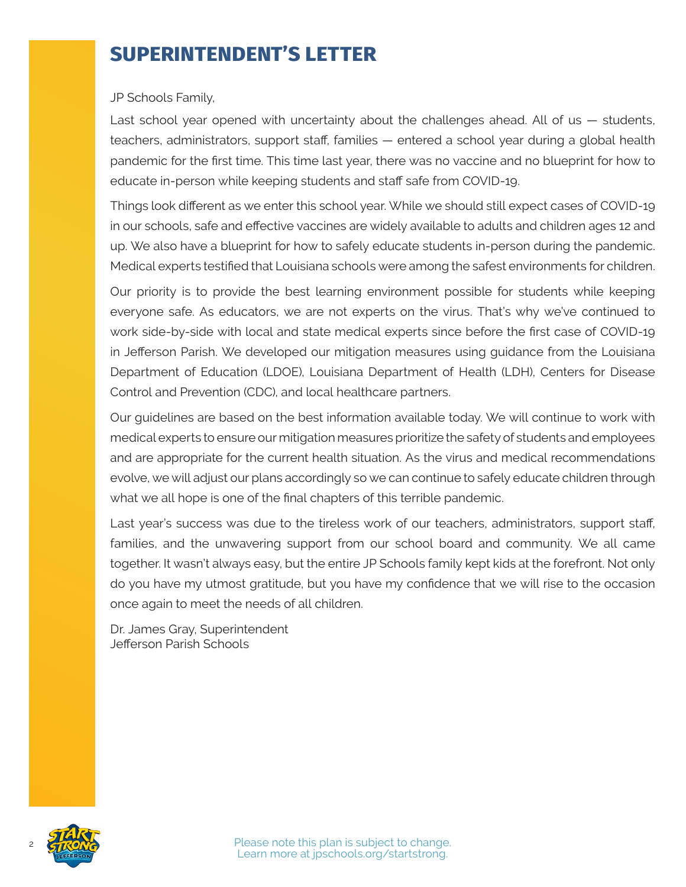# **SUPERINTENDENT'S LETTER**

#### JP Schools Family,

Last school year opened with uncertainty about the challenges ahead. All of us — students, teachers, administrators, support staff, families — entered a school year during a global health pandemic for the first time. This time last year, there was no vaccine and no blueprint for how to educate in-person while keeping students and staff safe from COVID-19.

Things look different as we enter this school year. While we should still expect cases of COVID-19 in our schools, safe and effective vaccines are widely available to adults and children ages 12 and up. We also have a blueprint for how to safely educate students in-person during the pandemic. Medical experts testified that Louisiana schools were among the safest environments for children.

Our priority is to provide the best learning environment possible for students while keeping everyone safe. As educators, we are not experts on the virus. That's why we've continued to work side-by-side with local and state medical experts since before the first case of COVID-19 in Jefferson Parish. We developed our mitigation measures using guidance from the Louisiana Department of Education (LDOE), Louisiana Department of Health (LDH), Centers for Disease Control and Prevention (CDC), and local healthcare partners.

Our guidelines are based on the best information available today. We will continue to work with medical experts to ensure our mitigation measures prioritize the safety of students and employees and are appropriate for the current health situation. As the virus and medical recommendations evolve, we will adjust our plans accordingly so we can continue to safely educate children through what we all hope is one of the final chapters of this terrible pandemic.

Last year's success was due to the tireless work of our teachers, administrators, support staff, families, and the unwavering support from our school board and community. We all came together. It wasn't always easy, but the entire JP Schools family kept kids at the forefront. Not only do you have my utmost gratitude, but you have my confidence that we will rise to the occasion once again to meet the needs of all children.

Dr. James Gray, Superintendent Jefferson Parish Schools

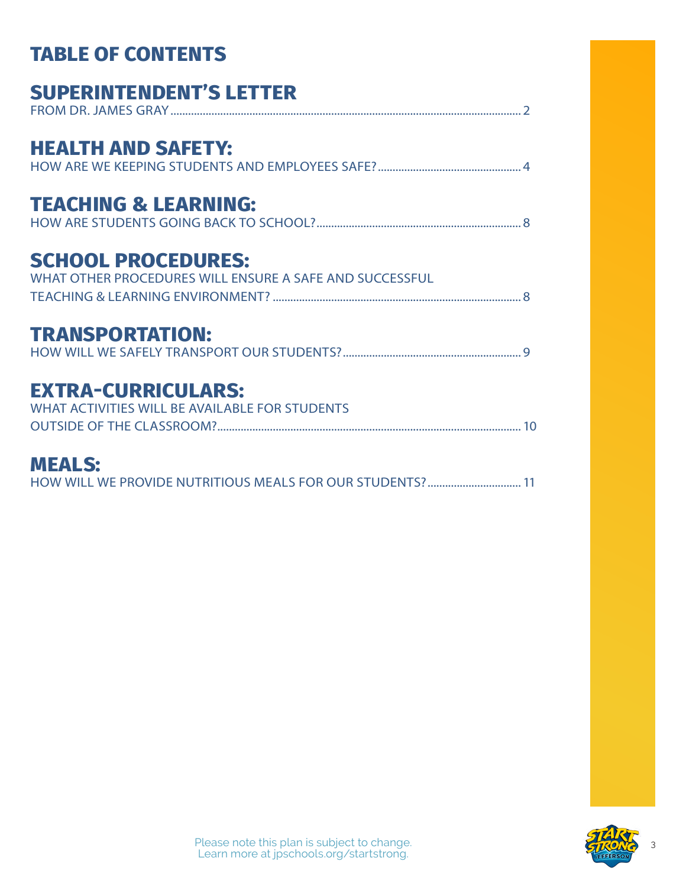| <b>TABLE OF CONTENTS</b>                                                             |
|--------------------------------------------------------------------------------------|
| <b>SUPERINTENDENT'S LETTER</b>                                                       |
| <b>HEALTH AND SAFETY:</b>                                                            |
| <b>TEACHING &amp; LEARNING:</b>                                                      |
| <b>SCHOOL PROCEDURES:</b><br>WHAT OTHER PROCEDURES WILL ENSURE A SAFE AND SUCCESSFUL |
| <b>TRANSPORTATION:</b>                                                               |
| <b>EXTRA-CURRICULARS:</b><br>WHAT ACTIVITIES WILL BE AVAILABLE FOR STUDENTS          |
| <b>MEALS:</b><br>HOW WILL WE PROVIDE NUTRITIOUS MEALS FOR OUR STUDENTS?  11          |

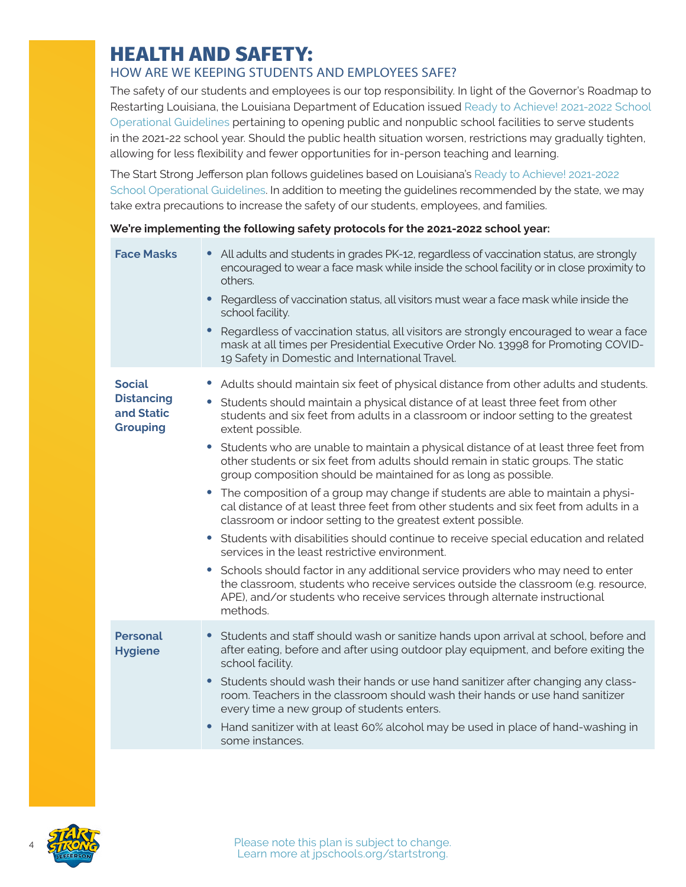## <span id="page-3-0"></span>**HEALTH AND SAFETY:**

### HOW ARE WE KEEPING STUDENTS AND EMPLOYEES SAFE?

The safety of our students and employees is our top responsibility. In light of the Governor's Roadmap to Restarting Louisiana, the Louisiana Department of Education issued [Ready to Achieve! 2021-2022 School](https://www.louisianabelieves.com/docs/default-source/ready-to-achieve/ready-to-achieve!-2021-2022-school-operational-guidelines.pdf?sfvrsn=737f6718_12)  [Operational Guidelines](https://www.louisianabelieves.com/docs/default-source/ready-to-achieve/ready-to-achieve!-2021-2022-school-operational-guidelines.pdf?sfvrsn=737f6718_12) pertaining to opening public and nonpublic school facilities to serve students in the 2021-22 school year. Should the public health situation worsen, restrictions may gradually tighten, allowing for less flexibility and fewer opportunities for in-person teaching and learning.

The Start Strong Jefferson plan follows guidelines based on Louisiana's [Ready to Achieve! 2021-2022](https://www.louisianabelieves.com/docs/default-source/ready-to-achieve/ready-to-achieve!-2021-2022-school-operational-guidelines.pdf?sfvrsn=737f6718_12)  [School Operational Guidelines](https://www.louisianabelieves.com/docs/default-source/ready-to-achieve/ready-to-achieve!-2021-2022-school-operational-guidelines.pdf?sfvrsn=737f6718_12). In addition to meeting the guidelines recommended by the state, we may take extra precautions to increase the safety of our students, employees, and families.

#### **We're implementing the following safety protocols for the 2021-2022 school year:**

| <b>Face Masks</b>                                                   | All adults and students in grades PK-12, regardless of vaccination status, are strongly<br>encouraged to wear a face mask while inside the school facility or in close proximity to<br>others.<br>Regardless of vaccination status, all visitors must wear a face mask while inside the<br>$\bullet$<br>school facility.<br>Regardless of vaccination status, all visitors are strongly encouraged to wear a face<br>mask at all times per Presidential Executive Order No. 13998 for Promoting COVID-<br>19 Safety in Domestic and International Travel.                                                                                                                                                                                                                                                                                                                                                                                                                                                                                                                                                                                                                                                |
|---------------------------------------------------------------------|----------------------------------------------------------------------------------------------------------------------------------------------------------------------------------------------------------------------------------------------------------------------------------------------------------------------------------------------------------------------------------------------------------------------------------------------------------------------------------------------------------------------------------------------------------------------------------------------------------------------------------------------------------------------------------------------------------------------------------------------------------------------------------------------------------------------------------------------------------------------------------------------------------------------------------------------------------------------------------------------------------------------------------------------------------------------------------------------------------------------------------------------------------------------------------------------------------|
| <b>Social</b><br><b>Distancing</b><br>and Static<br><b>Grouping</b> | Adults should maintain six feet of physical distance from other adults and students.<br>$\bullet$<br>Students should maintain a physical distance of at least three feet from other<br>students and six feet from adults in a classroom or indoor setting to the greatest<br>extent possible.<br>• Students who are unable to maintain a physical distance of at least three feet from<br>other students or six feet from adults should remain in static groups. The static<br>group composition should be maintained for as long as possible.<br>The composition of a group may change if students are able to maintain a physi-<br>cal distance of at least three feet from other students and six feet from adults in a<br>classroom or indoor setting to the greatest extent possible.<br>Students with disabilities should continue to receive special education and related<br>services in the least restrictive environment.<br>• Schools should factor in any additional service providers who may need to enter<br>the classroom, students who receive services outside the classroom (e.g. resource,<br>APE), and/or students who receive services through alternate instructional<br>methods. |
| <b>Personal</b><br><b>Hygiene</b>                                   | Students and staff should wash or sanitize hands upon arrival at school, before and<br>after eating, before and after using outdoor play equipment, and before exiting the<br>school facility.<br>Students should wash their hands or use hand sanitizer after changing any class-<br>room. Teachers in the classroom should wash their hands or use hand sanitizer<br>every time a new group of students enters.<br>Hand sanitizer with at least 60% alcohol may be used in place of hand-washing in<br>some instances.                                                                                                                                                                                                                                                                                                                                                                                                                                                                                                                                                                                                                                                                                 |

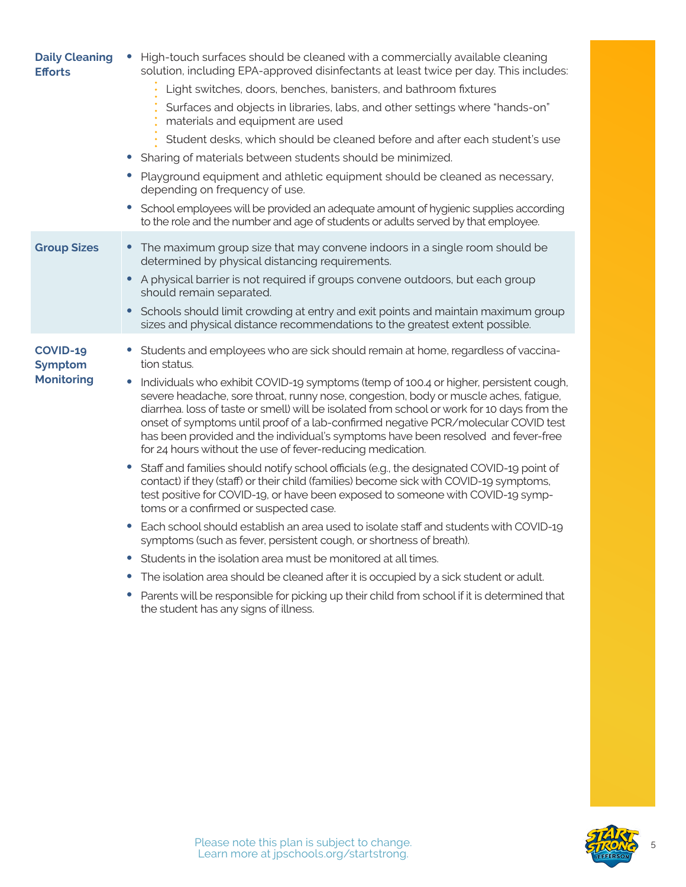| <b>Daily Cleaning</b><br><b>Efforts</b> | High-touch surfaces should be cleaned with a commercially available cleaning<br>$\bullet$<br>solution, including EPA-approved disinfectants at least twice per day. This includes:                                                                                                                                                                                                                                                                                                                                    |
|-----------------------------------------|-----------------------------------------------------------------------------------------------------------------------------------------------------------------------------------------------------------------------------------------------------------------------------------------------------------------------------------------------------------------------------------------------------------------------------------------------------------------------------------------------------------------------|
|                                         | Light switches, doors, benches, banisters, and bathroom fixtures                                                                                                                                                                                                                                                                                                                                                                                                                                                      |
|                                         | Surfaces and objects in libraries, labs, and other settings where "hands-on"<br>materials and equipment are used                                                                                                                                                                                                                                                                                                                                                                                                      |
|                                         | Student desks, which should be cleaned before and after each student's use                                                                                                                                                                                                                                                                                                                                                                                                                                            |
|                                         | Sharing of materials between students should be minimized.                                                                                                                                                                                                                                                                                                                                                                                                                                                            |
|                                         | Playground equipment and athletic equipment should be cleaned as necessary,<br>$\bullet$<br>depending on frequency of use.                                                                                                                                                                                                                                                                                                                                                                                            |
|                                         | School employees will be provided an adequate amount of hygienic supplies according<br>to the role and the number and age of students or adults served by that employee.                                                                                                                                                                                                                                                                                                                                              |
| <b>Group Sizes</b>                      | The maximum group size that may convene indoors in a single room should be<br>$\bullet$<br>determined by physical distancing requirements.                                                                                                                                                                                                                                                                                                                                                                            |
|                                         | $\bullet$<br>A physical barrier is not required if groups convene outdoors, but each group<br>should remain separated.                                                                                                                                                                                                                                                                                                                                                                                                |
|                                         | Schools should limit crowding at entry and exit points and maintain maximum group<br>$\bullet$<br>sizes and physical distance recommendations to the greatest extent possible.                                                                                                                                                                                                                                                                                                                                        |
| COVID-19<br><b>Symptom</b>              | Students and employees who are sick should remain at home, regardless of vaccina-<br>$\bullet$<br>tion status.                                                                                                                                                                                                                                                                                                                                                                                                        |
| <b>Monitoring</b>                       | Individuals who exhibit COVID-19 symptoms (temp of 100.4 or higher, persistent cough,<br>severe headache, sore throat, runny nose, congestion, body or muscle aches, fatigue,<br>diarrhea. loss of taste or smell) will be isolated from school or work for 10 days from the<br>onset of symptoms until proof of a lab-confirmed negative PCR/molecular COVID test<br>has been provided and the individual's symptoms have been resolved and fever-free<br>for 24 hours without the use of fever-reducing medication. |
|                                         | Staff and families should notify school officials (e.g., the designated COVID-19 point of<br>$\bullet$<br>contact) if they (staff) or their child (families) become sick with COVID-19 symptoms,<br>test positive for COVID-19, or have been exposed to someone with COVID-19 symp-<br>toms or a confirmed or suspected case.                                                                                                                                                                                         |
|                                         | Each school should establish an area used to isolate staff and students with COVID-19<br>$\bullet$<br>symptoms (such as fever, persistent cough, or shortness of breath).                                                                                                                                                                                                                                                                                                                                             |
|                                         | Students in the isolation area must be monitored at all times.                                                                                                                                                                                                                                                                                                                                                                                                                                                        |
|                                         | The isolation area should be cleaned after it is occupied by a sick student or adult.<br>$\bullet$                                                                                                                                                                                                                                                                                                                                                                                                                    |
|                                         | Parents will be responsible for picking up their child from school if it is determined that<br>$\bullet$<br>the student has any signs of illness.                                                                                                                                                                                                                                                                                                                                                                     |

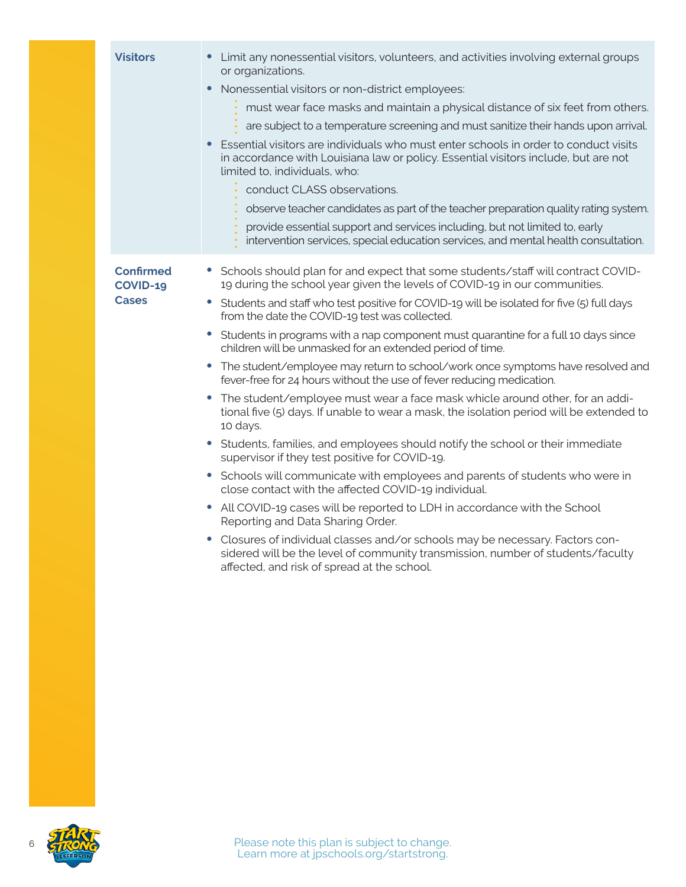| <b>Visitors</b>                              | • Limit any nonessential visitors, volunteers, and activities involving external groups<br>or organizations.<br>Nonessential visitors or non-district employees:<br>must wear face masks and maintain a physical distance of six feet from others.<br>are subject to a temperature screening and must sanitize their hands upon arrival.<br>Essential visitors are individuals who must enter schools in order to conduct visits<br>in accordance with Louisiana law or policy. Essential visitors include, but are not<br>limited to, individuals, who:<br>conduct CLASS observations.<br>observe teacher candidates as part of the teacher preparation quality rating system.<br>provide essential support and services including, but not limited to, early<br>intervention services, special education services, and mental health consultation.                                                                                                                                                                                                                                                                                                                                                                                                                                                                                                                                                                                                           |
|----------------------------------------------|----------------------------------------------------------------------------------------------------------------------------------------------------------------------------------------------------------------------------------------------------------------------------------------------------------------------------------------------------------------------------------------------------------------------------------------------------------------------------------------------------------------------------------------------------------------------------------------------------------------------------------------------------------------------------------------------------------------------------------------------------------------------------------------------------------------------------------------------------------------------------------------------------------------------------------------------------------------------------------------------------------------------------------------------------------------------------------------------------------------------------------------------------------------------------------------------------------------------------------------------------------------------------------------------------------------------------------------------------------------------------------------------------------------------------------------------------------------|
| <b>Confirmed</b><br>COVID-19<br><b>Cases</b> | Schools should plan for and expect that some students/staff will contract COVID-<br>19 during the school year given the levels of COVID-19 in our communities.<br>Students and staff who test positive for COVID-19 will be isolated for five (5) full days<br>from the date the COVID-19 test was collected.<br>Students in programs with a nap component must quarantine for a full 10 days since<br>$\bullet$<br>children will be unmasked for an extended period of time.<br>The student/employee may return to school/work once symptoms have resolved and<br>$\bullet$<br>fever-free for 24 hours without the use of fever reducing medication.<br>The student/employee must wear a face mask whicle around other, for an addi-<br>tional five (5) days. If unable to wear a mask, the isolation period will be extended to<br>10 days.<br>Students, families, and employees should notify the school or their immediate<br>supervisor if they test positive for COVID-19.<br>• Schools will communicate with employees and parents of students who were in<br>close contact with the affected COVID-19 individual.<br>All COVID-19 cases will be reported to LDH in accordance with the School<br>Reporting and Data Sharing Order.<br>• Closures of individual classes and/or schools may be necessary. Factors con-<br>sidered will be the level of community transmission, number of students/faculty<br>affected, and risk of spread at the school. |

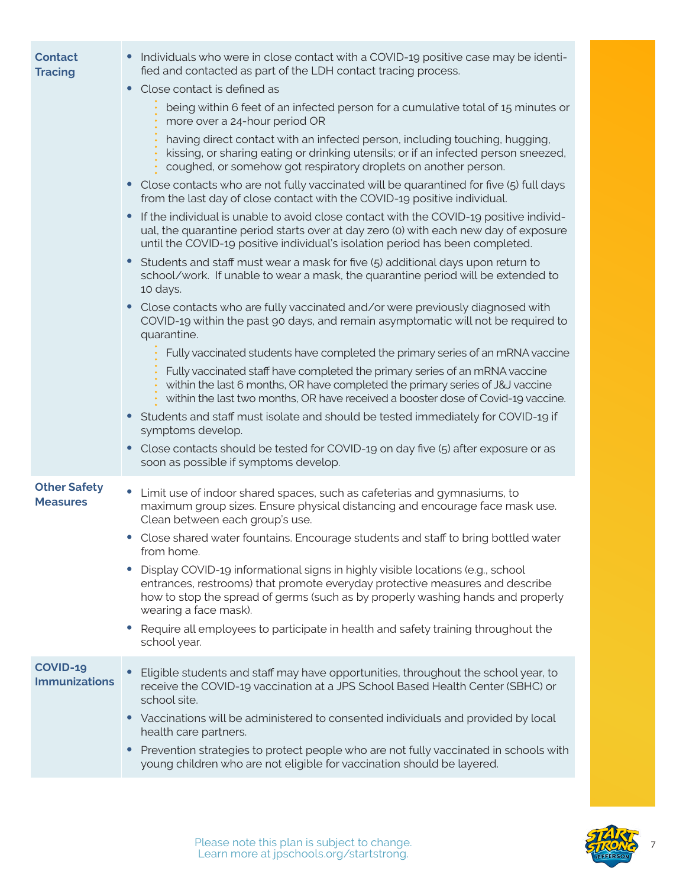| <b>Contact</b><br><b>Tracing</b>       | Individuals who were in close contact with a COVID-19 positive case may be identi-<br>fied and contacted as part of the LDH contact tracing process.<br>Close contact is defined as<br>being within 6 feet of an infected person for a cumulative total of 15 minutes or<br>more over a 24-hour period OR<br>having direct contact with an infected person, including touching, hugging,<br>kissing, or sharing eating or drinking utensils; or if an infected person sneezed,<br>coughed, or somehow got respiratory droplets on another person.<br>Close contacts who are not fully vaccinated will be quarantined for five (5) full days<br>from the last day of close contact with the COVID-19 positive individual.<br>If the individual is unable to avoid close contact with the COVID-19 positive individ-<br>ual, the quarantine period starts over at day zero (0) with each new day of exposure<br>until the COVID-19 positive individual's isolation period has been completed.<br>Students and staff must wear a mask for five (5) additional days upon return to<br>school/work. If unable to wear a mask, the quarantine period will be extended to<br>10 days.<br>• Close contacts who are fully vaccinated and/or were previously diagnosed with<br>COVID-19 within the past 90 days, and remain asymptomatic will not be required to<br>quarantine.<br>Fully vaccinated students have completed the primary series of an mRNA vaccine<br>Fully vaccinated staff have completed the primary series of an mRNA vaccine<br>within the last 6 months, OR have completed the primary series of J&J vaccine<br>within the last two months, OR have received a booster dose of Covid-19 vaccine.<br>• Students and staff must isolate and should be tested immediately for COVID-19 if<br>symptoms develop.<br>Close contacts should be tested for COVID-19 on day five (5) after exposure or as<br>$\bullet$<br>soon as possible if symptoms develop. |
|----------------------------------------|-------------------------------------------------------------------------------------------------------------------------------------------------------------------------------------------------------------------------------------------------------------------------------------------------------------------------------------------------------------------------------------------------------------------------------------------------------------------------------------------------------------------------------------------------------------------------------------------------------------------------------------------------------------------------------------------------------------------------------------------------------------------------------------------------------------------------------------------------------------------------------------------------------------------------------------------------------------------------------------------------------------------------------------------------------------------------------------------------------------------------------------------------------------------------------------------------------------------------------------------------------------------------------------------------------------------------------------------------------------------------------------------------------------------------------------------------------------------------------------------------------------------------------------------------------------------------------------------------------------------------------------------------------------------------------------------------------------------------------------------------------------------------------------------------------------------------------------------------------------------------------------------------------------------------------------------------------------------|
| <b>Other Safety</b><br><b>Measures</b> | Limit use of indoor shared spaces, such as cafeterias and gymnasiums, to<br>maximum group sizes. Ensure physical distancing and encourage face mask use.<br>Clean between each group's use.<br>• Close shared water fountains. Encourage students and staff to bring bottled water<br>from home.<br>Display COVID-19 informational signs in highly visible locations (e.g., school<br>entrances, restrooms) that promote everyday protective measures and describe<br>how to stop the spread of germs (such as by properly washing hands and properly<br>wearing a face mask).<br>Require all employees to participate in health and safety training throughout the<br>school year.                                                                                                                                                                                                                                                                                                                                                                                                                                                                                                                                                                                                                                                                                                                                                                                                                                                                                                                                                                                                                                                                                                                                                                                                                                                                               |
| COVID-19<br><b>Immunizations</b>       | Eligible students and staff may have opportunities, throughout the school year, to<br>receive the COVID-19 vaccination at a JPS School Based Health Center (SBHC) or<br>school site.<br>• Vaccinations will be administered to consented individuals and provided by local<br>health care partners.<br>Prevention strategies to protect people who are not fully vaccinated in schools with<br>$\bullet$<br>young children who are not eligible for vaccination should be layered.                                                                                                                                                                                                                                                                                                                                                                                                                                                                                                                                                                                                                                                                                                                                                                                                                                                                                                                                                                                                                                                                                                                                                                                                                                                                                                                                                                                                                                                                                |

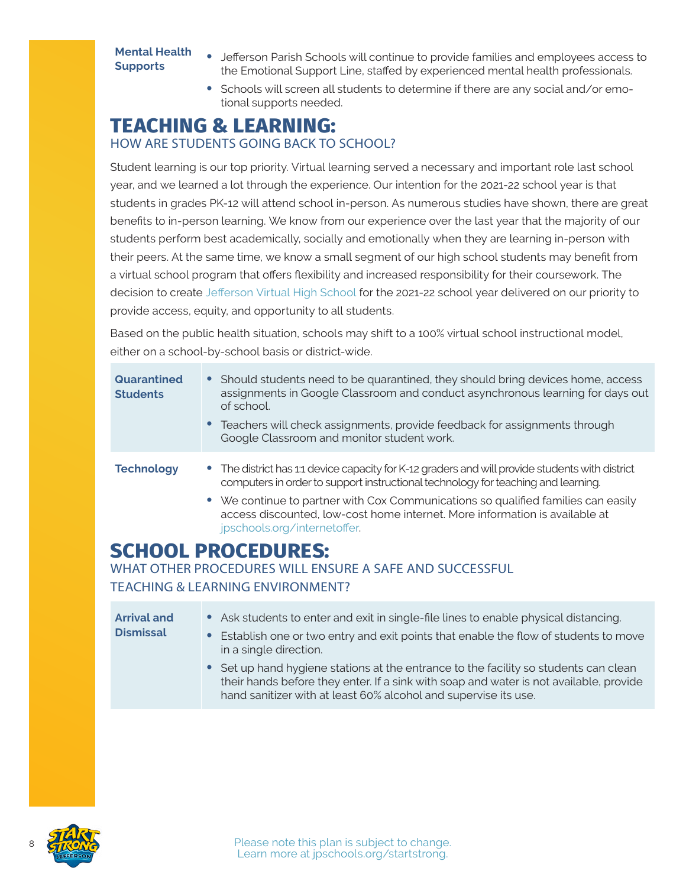### <span id="page-7-0"></span>**Mental Health**

- **Supports** Jefferson Parish Schools will continue to provide families and employees access to **Supports** the Employent Line staffed by experienced mental health prefectionals the Emotional Support Line, staffed by experienced mental health professionals.
	- **•** Schools will screen all students to determine if there are any social and/or emotional supports needed.

# **TEACHING & LEARNING:**

### HOW ARE STUDENTS GOING BACK TO SCHOOL?

Student learning is our top priority. Virtual learning served a necessary and important role last school year, and we learned a lot through the experience. Our intention for the 2021-22 school year is that students in grades PK-12 will attend school in-person. As numerous studies have shown, there are great benefits to in-person learning. We know from our experience over the last year that the majority of our students perform best academically, socially and emotionally when they are learning in-person with their peers. At the same time, we know a small segment of our high school students may benefit from a virtual school program that offers flexibility and increased responsibility for their coursework. The decision to create [Jefferson Virtual High School](http://jpschools.org/virtualschool) for the 2021-22 school year delivered on our priority to provide access, equity, and opportunity to all students.

Based on the public health situation, schools may shift to a 100% virtual school instructional model, either on a school-by-school basis or district-wide.

| Quarantined<br><b>Students</b> | • Should students need to be quarantined, they should bring devices home, access<br>assignments in Google Classroom and conduct asynchronous learning for days out<br>of school.<br>• Teachers will check assignments, provide feedback for assignments through<br>Google Classroom and monitor student work.                                                                            |
|--------------------------------|------------------------------------------------------------------------------------------------------------------------------------------------------------------------------------------------------------------------------------------------------------------------------------------------------------------------------------------------------------------------------------------|
| <b>Technology</b>              | • The district has 1:1 device capacity for K-12 graders and will provide students with district<br>computers in order to support instructional technology for teaching and learning.<br>• We continue to partner with Cox Communications so qualified families can easily<br>access discounted, low-cost home internet. More information is available at<br>jpschools.org/internetoffer. |
|                                | <b>SCHOOL PROCEDURES:</b><br>WHAT OTHER PROCEDURES WILL ENSURE A SAFE AND SUCCESSFUL                                                                                                                                                                                                                                                                                                     |

TEACHING & LEARNING ENVIRONMENT?

| <b>Arrival and</b><br><b>Dismissal</b> | • Ask students to enter and exit in single-file lines to enable physical distancing.<br>• Establish one or two entry and exit points that enable the flow of students to move<br>in a single direction.                                           |
|----------------------------------------|---------------------------------------------------------------------------------------------------------------------------------------------------------------------------------------------------------------------------------------------------|
|                                        | • Set up hand hygiene stations at the entrance to the facility so students can clean<br>their hands before they enter. If a sink with soap and water is not available, provide<br>hand sanitizer with at least 60% alcohol and supervise its use. |

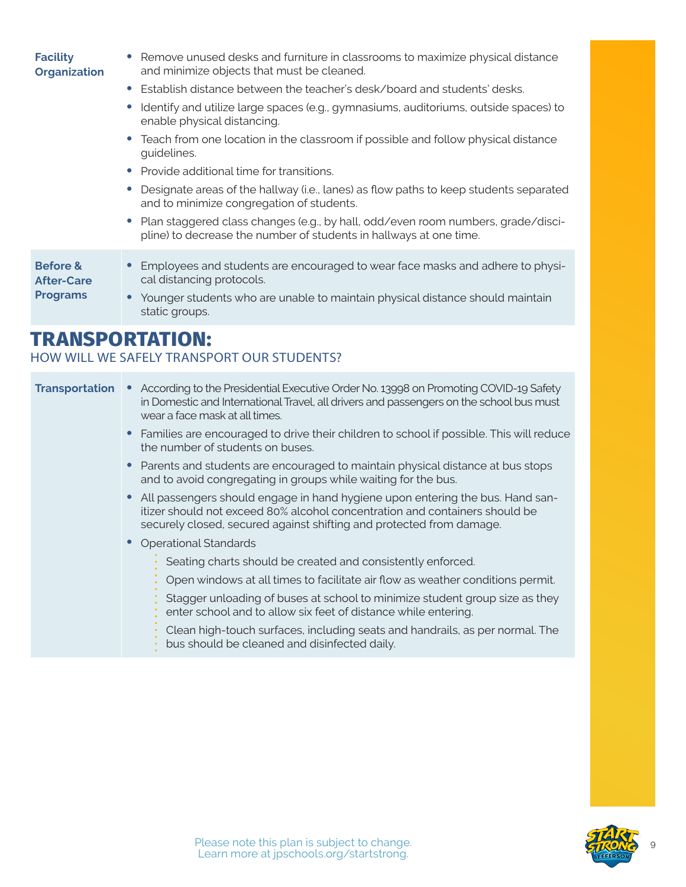| <b>Organization</b>                                         | and minimize objects that must be cleaned.                                                                                                             |
|-------------------------------------------------------------|--------------------------------------------------------------------------------------------------------------------------------------------------------|
|                                                             | • Establish distance between the teacher's desk/board and students' desks.                                                                             |
|                                                             | Identify and utilize large spaces (e.g., gymnasiums, auditoriums, outside spaces) to<br>enable physical distancing.                                    |
|                                                             | • Teach from one location in the classroom if possible and follow physical distance<br>guidelines.                                                     |
|                                                             | Provide additional time for transitions.<br>$\bullet$                                                                                                  |
|                                                             | Designate areas of the hallway (i.e., lanes) as flow paths to keep students separated<br>and to minimize congregation of students.                     |
|                                                             | Plan staggered class changes (e.g., by hall, odd/even room numbers, grade/disci-<br>pline) to decrease the number of students in hallways at one time. |
| <b>Before &amp;</b><br><b>After-Care</b><br><b>Programs</b> | Employees and students are encouraged to wear face masks and adhere to physi-<br>cal distancing protocols.                                             |
|                                                             | • Younger students who are unable to maintain physical distance should maintain<br>static groups.                                                      |
|                                                             | TD ANCDODTATION.                                                                                                                                       |

**•** Remove unused desks and furniture in classrooms to maximize physical distance

### **TRANSPORTATION:**

<span id="page-8-0"></span>**Facility** 

### HOW WILL WE SAFELY TRANSPORT OUR STUDENTS?

#### **Transportation •** According to the Presidential Executive Order No. 13998 on Promoting COVID-19 Safety in Domestic and International Travel, all drivers and passengers on the school bus must wear a face mask at all times.

- **•** Families are encouraged to drive their children to school if possible. This will reduce the number of students on buses.
- **•** Parents and students are encouraged to maintain physical distance at bus stops and to avoid congregating in groups while waiting for the bus.
- **•** All passengers should engage in hand hygiene upon entering the bus. Hand sanitizer should not exceed 80% alcohol concentration and containers should be securely closed, secured against shifting and protected from damage.
- **•** Operational Standards
	- Seating charts should be created and consistently enforced.
	- Open windows at all times to facilitate air flow as weather conditions permit.
	- Stagger unloading of buses at school to minimize student group size as they enter school and to allow six feet of distance while entering.
	- Clean high-touch surfaces, including seats and handrails, as per normal. The bus should be cleaned and disinfected daily.

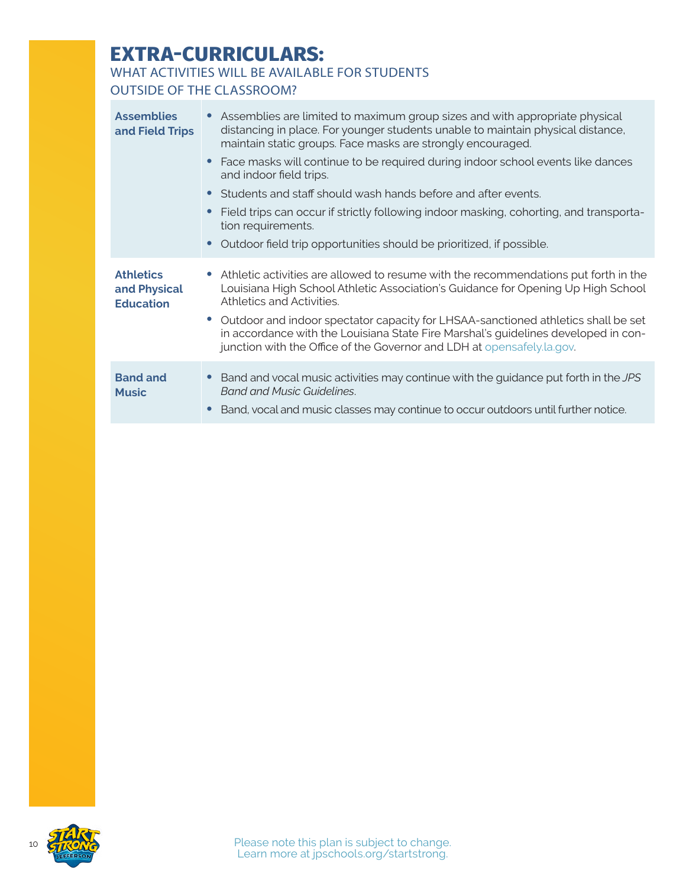# <span id="page-9-0"></span>**EXTRA-CURRICULARS:**

### WHAT ACTIVITIES WILL BE AVAILABLE FOR STUDENTS

### OUTSIDE OF THE CLASSROOM?

| <b>Assemblies</b><br>and Field Trips                 | Assemblies are limited to maximum group sizes and with appropriate physical<br>distancing in place. For younger students unable to maintain physical distance,<br>maintain static groups. Face masks are strongly encouraged.                       |
|------------------------------------------------------|-----------------------------------------------------------------------------------------------------------------------------------------------------------------------------------------------------------------------------------------------------|
|                                                      | Face masks will continue to be required during indoor school events like dances<br>and indoor field trips.                                                                                                                                          |
|                                                      | • Students and staff should wash hands before and after events.                                                                                                                                                                                     |
|                                                      | Field trips can occur if strictly following indoor masking, cohorting, and transporta-<br>tion requirements.                                                                                                                                        |
|                                                      | Outdoor field trip opportunities should be prioritized, if possible.<br>$\bullet$                                                                                                                                                                   |
| <b>Athletics</b><br>and Physical<br><b>Education</b> | • Athletic activities are allowed to resume with the recommendations put forth in the<br>Louisiana High School Athletic Association's Guidance for Opening Up High School<br>Athletics and Activities.                                              |
|                                                      | • Outdoor and indoor spectator capacity for LHSAA-sanctioned athletics shall be set<br>in accordance with the Louisiana State Fire Marshal's guidelines developed in con-<br>junction with the Office of the Governor and LDH at opensafely.la.gov. |
| <b>Band and</b><br><b>Music</b>                      | Band and vocal music activities may continue with the guidance put forth in the JPS<br><b>Band and Music Guidelines.</b><br>Band, vocal and music classes may continue to occur outdoors until further notice.                                      |

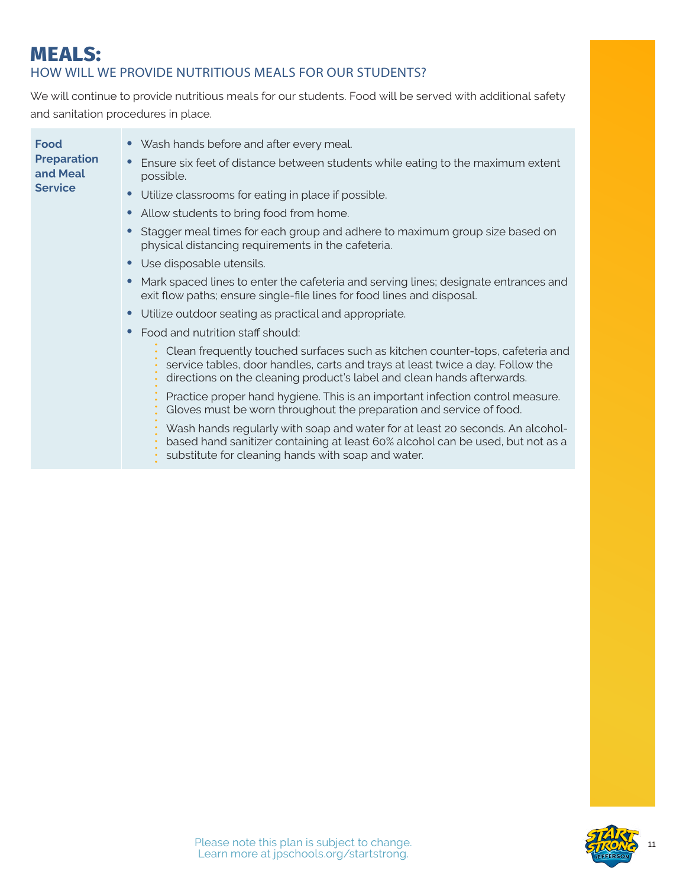### <span id="page-10-0"></span>**MEALS:** HOW WILL WE PROVIDE NUTRITIOUS MEALS FOR OUR STUDENTS?

We will continue to provide nutritious meals for our students. Food will be served with additional safety and sanitation procedures in place.

| Food<br><b>Preparation</b><br>and Meal<br><b>Service</b> | • Wash hands before and after every meal.                                                                                                                                                                                                 |
|----------------------------------------------------------|-------------------------------------------------------------------------------------------------------------------------------------------------------------------------------------------------------------------------------------------|
|                                                          | Ensure six feet of distance between students while eating to the maximum extent<br>$\bullet$<br>possible.                                                                                                                                 |
|                                                          | Utilize classrooms for eating in place if possible.<br>$\bullet$                                                                                                                                                                          |
|                                                          | Allow students to bring food from home.<br>$\bullet$                                                                                                                                                                                      |
|                                                          | Stagger meal times for each group and adhere to maximum group size based on<br>physical distancing requirements in the cafeteria.                                                                                                         |
|                                                          | Use disposable utensils.<br>$\bullet$                                                                                                                                                                                                     |
|                                                          | Mark spaced lines to enter the cafeteria and serving lines; designate entrances and<br>$\bullet$<br>exit flow paths; ensure single-file lines for food lines and disposal.                                                                |
|                                                          | Utilize outdoor seating as practical and appropriate.<br>$\bullet$                                                                                                                                                                        |
|                                                          | Food and nutrition staff should:<br>$\bullet$                                                                                                                                                                                             |
|                                                          | Clean frequently touched surfaces such as kitchen counter-tops, cafeteria and<br>service tables, door handles, carts and trays at least twice a day. Follow the<br>directions on the cleaning product's label and clean hands afterwards. |
|                                                          | Practice proper hand hygiene. This is an important infection control measure.<br>Gloves must be worn throughout the preparation and service of food.                                                                                      |
|                                                          | Wash hands regularly with soap and water for at least 20 seconds. An alcohol-<br>based hand sanitizer containing at least 60% alcohol can be used, but not as a<br>substitute for cleaning hands with soap and water.                     |